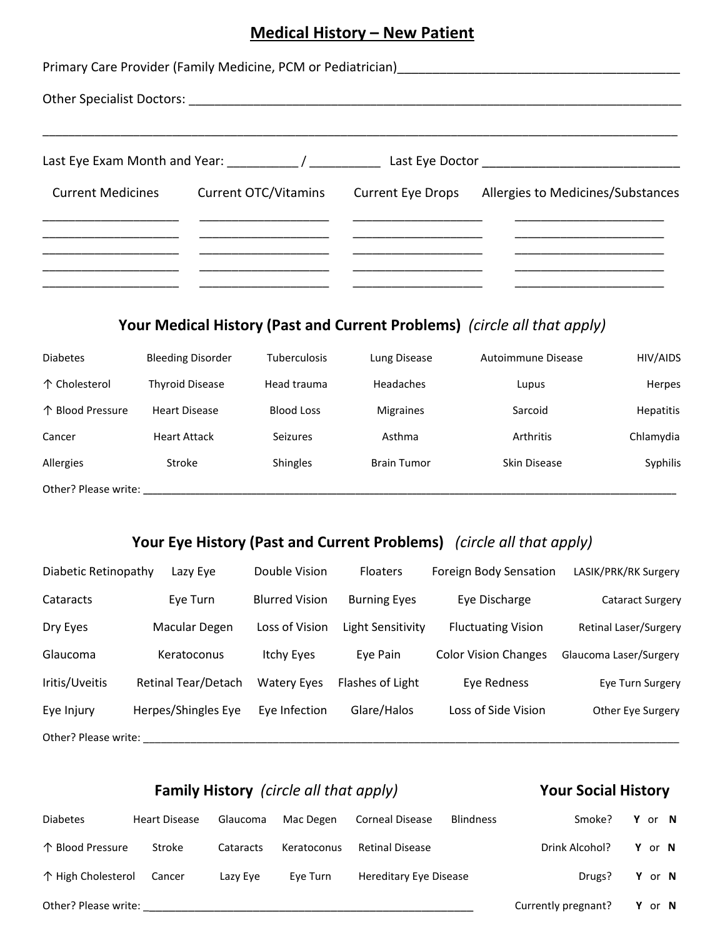## **Medical History – New Patient**

| Primary Care Provider (Family Medicine, PCM or Pediatrician) |                      |  |                                                     |  |  |  |  |
|--------------------------------------------------------------|----------------------|--|-----------------------------------------------------|--|--|--|--|
|                                                              |                      |  |                                                     |  |  |  |  |
|                                                              |                      |  |                                                     |  |  |  |  |
| <b>Current Medicines</b>                                     | Current OTC/Vitamins |  | Current Eye Drops Allergies to Medicines/Substances |  |  |  |  |
|                                                              |                      |  |                                                     |  |  |  |  |
|                                                              |                      |  |                                                     |  |  |  |  |

### **Your Medical History (Past and Current Problems)** *(circle all that apply)*

| <b>Diabetes</b>      | <b>Bleeding Disorder</b> | <b>Tuberculosis</b> | Lung Disease       | Autoimmune Disease | HIV/AIDS         |
|----------------------|--------------------------|---------------------|--------------------|--------------------|------------------|
| 个 Cholesterol        | Thyroid Disease          | Head trauma         | Headaches          | Lupus              | Herpes           |
| 个 Blood Pressure     | <b>Heart Disease</b>     | <b>Blood Loss</b>   | <b>Migraines</b>   | Sarcoid            | <b>Hepatitis</b> |
| Cancer               | <b>Heart Attack</b>      | <b>Seizures</b>     | Asthma             | Arthritis          | Chlamydia        |
| Allergies            | Stroke                   | <b>Shingles</b>     | <b>Brain Tumor</b> | Skin Disease       | Syphilis         |
| Other? Please write: |                          |                     |                    |                    |                  |

### **Your Eye History (Past and Current Problems)** *(circle all that apply)*

| Diabetic Retinopathy | Lazy Eye            | Double Vision         | <b>Floaters</b>     | Foreign Body Sensation      | LASIK/PRK/RK Surgery    |
|----------------------|---------------------|-----------------------|---------------------|-----------------------------|-------------------------|
| Cataracts            | Eye Turn            | <b>Blurred Vision</b> | <b>Burning Eyes</b> | Eye Discharge               | <b>Cataract Surgery</b> |
| Dry Eyes             | Macular Degen       | Loss of Vision        | Light Sensitivity   | <b>Fluctuating Vision</b>   | Retinal Laser/Surgery   |
| Glaucoma             | Keratoconus         | Itchy Eyes            | Eye Pain            | <b>Color Vision Changes</b> | Glaucoma Laser/Surgery  |
| Iritis/Uveitis       | Retinal Tear/Detach | <b>Watery Eyes</b>    | Flashes of Light    | Eye Redness                 | Eye Turn Surgery        |
| Eye Injury           | Herpes/Shingles Eye | Eye Infection         | Glare/Halos         | Loss of Side Vision         | Other Eye Surgery       |
| Other? Please write: |                     |                       |                     |                             |                         |

### **Family History** (circle all that apply) *Your Social History*

| <b>Diabetes</b>      | <b>Heart Disease</b> | Glaucoma  | Mac Degen   | <b>Corneal Disease</b> | <b>Blindness</b> | Smoke?              | Y or N        |  |
|----------------------|----------------------|-----------|-------------|------------------------|------------------|---------------------|---------------|--|
| 个 Blood Pressure     | Stroke               | Cataracts | Keratoconus | <b>Retinal Disease</b> |                  | Drink Alcohol?      | Y or N        |  |
| 个 High Cholesterol   | Cancer               | Lazy Eye  | Eve Turn    | Hereditary Eye Disease |                  | Drugs?              | Y or N        |  |
| Other? Please write: |                      |           |             |                        |                  | Currently pregnant? | <b>Y</b> or N |  |